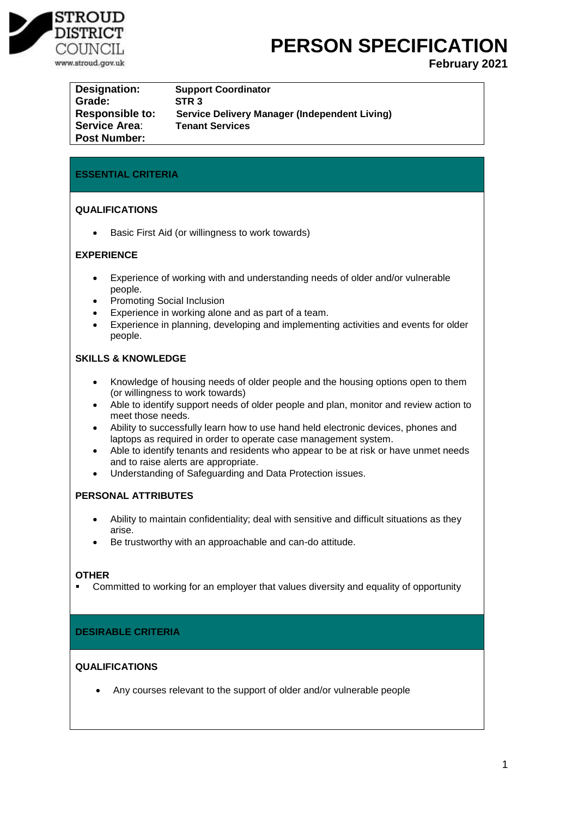

# **PERSON SPECIFICATION**

**February 2021**

| Designation:           | <b>Support Coordinator</b>                           |
|------------------------|------------------------------------------------------|
| Grade:                 | STR <sub>3</sub>                                     |
| <b>Responsible to:</b> | <b>Service Delivery Manager (Independent Living)</b> |
| <b>Service Area:</b>   | <b>Tenant Services</b>                               |
| <b>Post Number:</b>    |                                                      |

# **ESSENTIAL CRITERIA**

# **QUALIFICATIONS**

• Basic First Aid (or willingness to work towards)

# **EXPERIENCE**

- Experience of working with and understanding needs of older and/or vulnerable people.
- Promoting Social Inclusion
- Experience in working alone and as part of a team.
- Experience in planning, developing and implementing activities and events for older people.

# **SKILLS & KNOWLEDGE**

- Knowledge of housing needs of older people and the housing options open to them (or willingness to work towards)
- Able to identify support needs of older people and plan, monitor and review action to meet those needs.
- Ability to successfully learn how to use hand held electronic devices, phones and laptops as required in order to operate case management system.
- Able to identify tenants and residents who appear to be at risk or have unmet needs and to raise alerts are appropriate.
- Understanding of Safeguarding and Data Protection issues.

## **PERSONAL ATTRIBUTES**

- Ability to maintain confidentiality; deal with sensitive and difficult situations as they arise.
- Be trustworthy with an approachable and can-do attitude.

## **OTHER**

**•** Committed to working for an employer that values diversity and equality of opportunity

# **DESIRABLE CRITERIA**

## **QUALIFICATIONS**

Any courses relevant to the support of older and/or vulnerable people